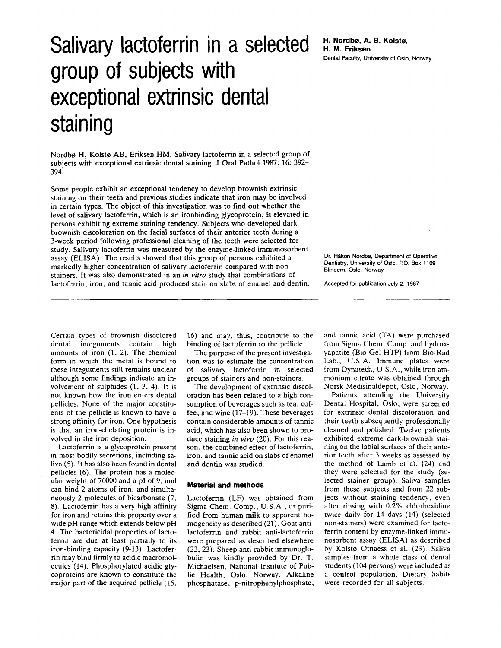## $Salivar$  lactoferrin in a selected H. Nordbø, A. B. Kolstø, group of subjects with exceptional extrinsic dental staining

Nordbø H, Kolstø AB, Eriksen HM. Salivary lactoferrin in a selected group of subjects with exceptional extrinsic dental staining. **J** Oral Pathol 1987: 16: 392- 394.

Some people exhibit an exceptional tendency to develop brownish extrinsic staining on their teeth and previous studies indicate that iron may be involved in certain types. The object of this investigation was to find out whether the level of salivary lactoferrin, which is an ironbinding glycoprotein, is elevated in persons exhibiting extreme staining tendency. Subjects who developed dark brownish discoloration on the facial surfaces of their anterior teeth during a 3-week period following professional cleaning of the teeth were selected for study. Salivary lactoferrin was measured by the enzyme-linked immunosorbent assay (ELISA). The results showed that this group of persons exhibited a markedly higher concentration of salivary lactoferrin compared with nonstainers. It was also demonstrated in an *in vitro* study that combinations of lactoferrin, iron, and tannic acid produced stain on slabs of enamel and dentin. Dental Faculty, University of **Oslo,** Noway

Dr. Håkon Nordbø, Department of Operative Dentistry, University of Oslo, P.O. Box 1109 Blindern, **Oslo,** Noway

Accepted for publication July **2.** 1987

Certain types of brownish discolored dental integuments contain high amounts of iron (1, **2).** The chemical form in which the metal is bound to these integuments still remains unclear although some findings indicate an involvement of sulphides (1. 3, **4).** It is not known how the iron enters dental pellicles. None of the major constituents of the pellicle is known to have a strong affinity for iron. One hypothesis is that an iron-chelating protein is involved in the iron deposition.

Lactoferrin is a glycoprotein present in most bodily secretions, including saliva (5). **It** has also been found in dental pellicles (6). **The** protein has a molecular weight of 76000 and a pl of 9, and can bind 2 atoms of iron, and simultaneously 2 molecules of bicarbonate (7, *8).* Lactoferrin has a very high affinity for iron and retains this property over a wide pH range which extends below pH 4. The bactericidal properties of lactoferrin are due at least partially to its iron-binding capacity (9-13). Lactoferrin may bind firmly to acidic macromolecules (14). Phosphorylated acidic glycoproteins are known to constitute the major part of the acquired pellicle (15,

16) and may, thus, contribute to the binding of lactoferrin to the pellicle.

The purpose of the present investigation was to estimate the concentration of salivary lactoferrin in selected groups of stainers and non-stainers.

The development of extrinsic discoloration has been related to a high consumption of beverages such as tea, coffee. and wine (17-19). These beverages contain considerable amounts of tannic acid, which has also been shown to produce staining *in vivo* (20). For this reason, the combined effect of lactoferrin, iron, and tannic acid on slabs of enamel and dentin was studied.

## **Material and methods**

Lactoferrin (LF) was obtained from Sigma Chem. Comp., U.S.A., or purified from human milk to apparent homogeneity as described (21). Goat antilactoferrin and rabbit anti-lactoferrin were prepared as described elsewhere (22. 23). Sheep anti-rabbit immunoglobulin was kindly provided by Dr. T. Michaelsen, National Institute of Public Health, Oslo, Norway. Alkaline phosphatase, p-nitrophenylphosphate. and tannic acid (TA) were purchased from Sigma Chem. Comp. and hydroxyapatite (Bio-Gel HTP) from Bio-Rad Lab., U.S.A. Immune plates were from Dynatech, U.S.A., while iron ammonium citrate was obtained through Norsk Medisinaldepot, Oslo, Norway.

Patients attending the University Dental Hospital, Oslo, were screened for extrinsic dental discoloration and their teeth subsequently professionally cleaned and polished. Twelve patients exhibited extreme dark-brownish staining on the labial surfaces of their ante**nor** teeth after 3 weeks as assessed by the method of Lamb et al. (24) and they were selected for the study (selected stainer group). Saliva samples from these subjects and from 22 subjects without staining tendency, even after rinsing with 0.2% chlorhexidine twice daily for 14 days (14) (selected non-stainers) were examined for lactoferrin content by enzyme-linked immunosorbent assay (ELISA) as described by Kolstø Otnaess et al. (23). Saliva samples from a whole class of dental students (104 persons) were included as a control population. Dietary habits were recorded for all subjects.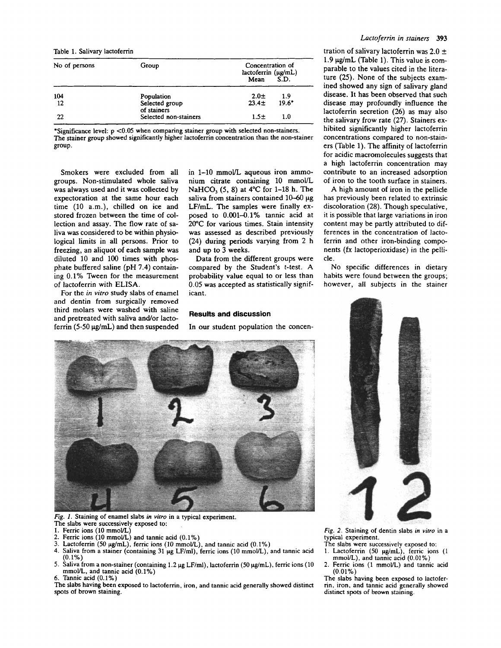Table 1. Salivary lactoferrin

| No of persons | Group                         | Concentration of<br>lactoferrin (µg/mL)<br>S.D.<br>Mean |
|---------------|-------------------------------|---------------------------------------------------------|
| 104           | Population                    | $2.0\pm$<br>-1.9                                        |
| 12            | Selected group<br>of stainers | $19.6*$<br>23.4 <sub>±</sub>                            |
| 22            | Selected non-stainers         | 1.5±<br>1.0                                             |

\*Significance level: p **<0.05** when comparing stainer group with selected non-stainers. The stainer group showed significantly higher lactoferrin concentration than the non-stainer group.

Smokers were excluded from all groups. Non-stimulated whole saliva was always used and it was collected by expectoration at the same hour each time (10 a.m.), chilled on ice and stored frozen between the time of collection and assay. The flow rate of saliva was considered to be within physiological limits in all persons. Prior to freezing, an aliquot of each sample was diluted 10 and 100 times with phosphate buffered saline (pH 7.4) containing 0.1% Tween for the measurement of lactoferrin with ELISA.

For the *in vitro* study slabs of enamel and dentin from surgically removed third molars were washed with saline and pretreated with saliva and/or lactoferrin  $(5-50 \mu g/mL)$  and then suspended in 1-10 mmoVL aqueous iron ammonium citrate containing 10 mmol/L NaHCO, *(5,* 8) at 4°C for 1-18 h. The saliva from stainers contained 10-60 µg LF/mL. The samples were finally exposed to 0.001-0.1% tannic acid at 20°C for various times. Stain intensity was assessed as described previously (24) during periods varying from 2 h and up **to** 3 weeks.

Data from the different groups were compared by the Student's t-test. **A**  probability value equal to or less than 0.05 was accepted as statistically significant.

## **Results and discussion**

In our student population the concen-



*Fig. 1.* Staining of enamel slabs *in vitro* in a typical experiment. The slabs were successively exposed to:

- 
- **1.** Ferric ions **(I0** mmoUL)
- 2. Ferric ions (10 **mmoUL)** and tannic acid (O.lYo)
- *3.* Lactofemn (50 **pg/mL),** ferric ions (10 mmol/L), and tannic acid **(0.1Y0)**
- Saliva from a stainer (containing 31  $\mu$ g LF/ml), ferric ions (10 mmol/L), and tannic acid (0.1%)
- *5.* Saliva from a non-stainer (containing 1.2 **pg LF/ml),** lactoferrin (50 **pg/mL),** ferric ions (10 6. Tannic acid **(0.1%)**  mmoVL, and tannic acid **(O.lYo)**

The slabs having been exposed to lactoferrin, iron, and tannic acid generally showed distinct spots of brown staining.

tration of salivary lactoferrin was  $2.0 \pm$ 1.9  $\mu$ g/mL (Table 1). This value is comparable to the values cited in the literature (25). None of the subjects examined showed any sign of salivary gland disease. It has been observed that such disease may profoundly influence the lactoferrin secretion (26) as may also the salivary frow rate (27). Stainers exhibited significantly higher lactoferrin concentrations compared to non-stainers (Table 1). The affinity of lactoferrin for acidic macromolecules suggests that a high lactoferrin concentration may contribute to an increased adsorption of iron to the tooth surface in stainers.

A high amount of iron in the pellicle has previously been related to extrinsic discoloration (28). Though speculative, it is possible that large variations in iron content may be partly attributed to differences in the concentration of lactoferrin and other iron-binding components (fx lactoperioxidase) in the peliicle .

No specific differences in dietary habits were found between the groups; however, all subjects in the stainer



*Fig. 2.* Staining of dentin slabs *in virro*  **in a**  typical experiment.

- The slabs were successively exposed to 1. Lactoferrin (50 µg/mL), ferric ions (1
- mmoUL), and tannic acid (0.01%) 2. Ferric ions (1 mmol/L) and tannic acid
- The slabs having been exposed to lactofer-**(0.01%)**

rin, iron, and tannic acid generally showed distinct **spots of** brown staining.